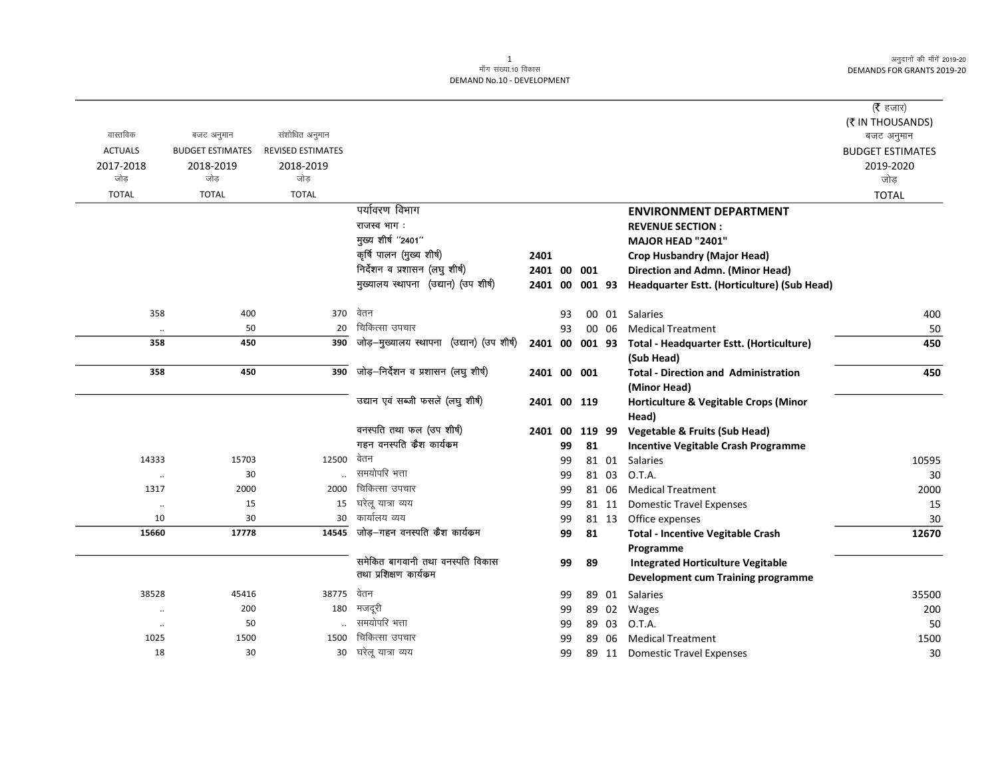## 1 ek¡x l a[;k-10 fodkl DEMAND No.10 - DEVELOPMENT

|                      |                         |                          |                                           |             |    |           |       |                                             | ( <b>रै</b> हजार)       |
|----------------------|-------------------------|--------------------------|-------------------------------------------|-------------|----|-----------|-------|---------------------------------------------|-------------------------|
|                      |                         |                          |                                           |             |    |           |       |                                             | (₹ IN THOUSANDS)        |
| वास्तविक             | बजट अनुमान              | संशोधित अनुमान           |                                           |             |    |           |       |                                             | बजट अनुमान              |
| <b>ACTUALS</b>       | <b>BUDGET ESTIMATES</b> | <b>REVISED ESTIMATES</b> |                                           |             |    |           |       |                                             | <b>BUDGET ESTIMATES</b> |
| 2017-2018            | 2018-2019               | 2018-2019                |                                           |             |    |           |       |                                             | 2019-2020               |
| जोड                  | जोड                     | जोड                      |                                           |             |    |           |       |                                             | जोड                     |
| <b>TOTAL</b>         | <b>TOTAL</b>            | <b>TOTAL</b>             |                                           |             |    |           |       |                                             | <b>TOTAL</b>            |
|                      |                         |                          | पर्यावरण विभाग                            |             |    |           |       | <b>ENVIRONMENT DEPARTMENT</b>               |                         |
|                      |                         |                          | राजस्व भाग :                              |             |    |           |       | <b>REVENUE SECTION:</b>                     |                         |
|                      |                         |                          | मुख्य शीर्ष "2401"                        |             |    |           |       | MAJOR HEAD "2401"                           |                         |
|                      |                         |                          | कृषि पालन (मुख्य शीर्ष)                   | 2401        |    |           |       | <b>Crop Husbandry (Major Head)</b>          |                         |
|                      |                         |                          | निर्देशन व प्रशासन (लघु शीर्ष)            | 2401 00     |    | 001       |       | Direction and Admn. (Minor Head)            |                         |
|                      |                         |                          | मुख्यालय स्थापना (उद्यान) (उप शीर्ष)      | 2401 00     |    | 001 93    |       | Headquarter Estt. (Horticulture) (Sub Head) |                         |
| 358                  | 400                     | 370                      | वेतन                                      |             | 93 |           |       | 00 01 Salaries                              | 400                     |
| $\ddotsc$            | 50                      | 20                       | चिकित्सा उपचार                            |             | 93 |           | 00 06 | <b>Medical Treatment</b>                    | 50                      |
| 358                  | 450                     | 390                      | जोड़-मुख्यालय स्थापना (उद्यान) (उप शीर्ष) | 2401        |    | 00 001 93 |       | Total - Headquarter Estt. (Horticulture)    | 450                     |
|                      |                         |                          |                                           |             |    |           |       | (Sub Head)                                  |                         |
| 358                  | 450                     | 390                      | जोड़-निर्देशन व प्रशासन (लघु शीर्ष)       | 2401 00 001 |    |           |       | <b>Total - Direction and Administration</b> | 450                     |
|                      |                         |                          |                                           |             |    |           |       | (Minor Head)                                |                         |
|                      |                         |                          | उद्यान एवं सब्जी फसलें (लघु शीर्ष)        | 2401 00 119 |    |           |       | Horticulture & Vegitable Crops (Minor       |                         |
|                      |                         |                          |                                           |             |    |           |       | Head)                                       |                         |
|                      |                         |                          | वनस्पति तथा फल (उप शीर्ष)                 | 2401 00     |    | 119 99    |       | <b>Vegetable &amp; Fruits (Sub Head)</b>    |                         |
|                      |                         |                          | गहन वनस्पति कैश कार्यक्रम                 |             | 99 | 81        |       | <b>Incentive Vegitable Crash Programme</b>  |                         |
| 14333                | 15703                   | 12500                    | वेतन                                      |             | 99 |           | 81 01 | Salaries                                    | 10595                   |
| $\cdot\cdot$         | 30                      |                          | समयोपरि भत्ता                             |             | 99 |           | 81 03 | O.T.A.                                      | 30                      |
| 1317                 | 2000                    | 2000                     | चिकित्सा उपचार                            |             | 99 |           | 81 06 | <b>Medical Treatment</b>                    | 2000                    |
| $\ddot{\phantom{a}}$ | 15                      | 15                       | घरेलू यात्रा व्यय                         |             | 99 |           | 81 11 | <b>Domestic Travel Expenses</b>             | 15                      |
| 10                   | 30                      | 30                       | कार्यालय व्यय                             |             | 99 |           | 81 13 | Office expenses                             | 30                      |
| 15660                | 17778                   | 14545                    | जोड़–गहन वनस्पति कैश कार्यकम              |             | 99 | 81        |       | <b>Total - Incentive Vegitable Crash</b>    | 12670                   |
|                      |                         |                          |                                           |             |    |           |       | Programme                                   |                         |
|                      |                         |                          | समेकित बागवानी तथा वनस्पति विकास          |             | 99 | 89        |       | <b>Integrated Horticulture Vegitable</b>    |                         |
|                      |                         |                          | तथा प्रशिक्षण कार्यक्रम                   |             |    |           |       | <b>Development cum Training programme</b>   |                         |
| 38528                | 45416                   | 38775                    | वेतन                                      |             | 99 |           | 89 01 | Salaries                                    | 35500                   |
| $\ddot{\phantom{0}}$ | 200                     | 180                      | मजदूरी                                    |             | 99 |           | 89 02 | Wages                                       | 200                     |
| $\ddotsc$            | 50                      |                          | समयोपरि भत्ता                             |             | 99 |           | 89 03 | O.T.A.                                      | 50                      |
| 1025                 | 1500                    | 1500                     | चिकित्सा उपचार                            |             | 99 | 89        | 06    | <b>Medical Treatment</b>                    | 1500                    |
| 18                   | 30                      | 30                       | घरेलू यात्रा व्यय                         |             | 99 |           |       | 89 11 Domestic Travel Expenses              | 30                      |
|                      |                         |                          |                                           |             |    |           |       |                                             |                         |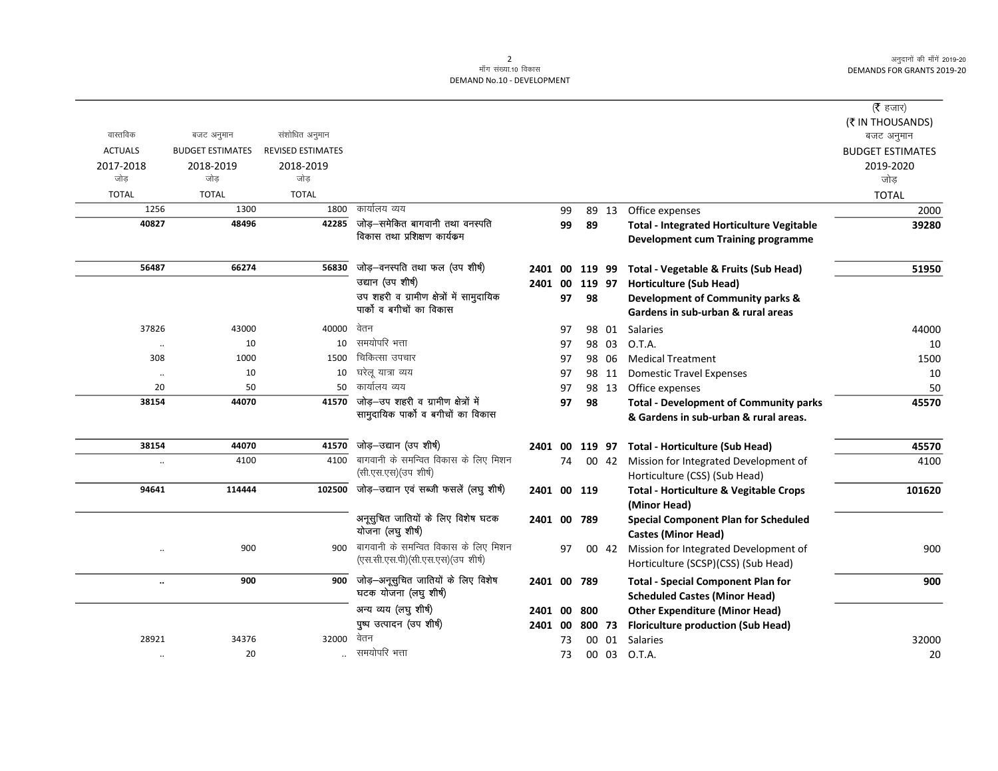| ( $\bar{\tau}$ हजार)<br>(₹ IN THOUSANDS)<br>बजट अनुमान<br><b>BUDGET ESTIMATES</b><br>2019-2020<br>जोड़ |
|--------------------------------------------------------------------------------------------------------|
|                                                                                                        |
|                                                                                                        |
|                                                                                                        |
|                                                                                                        |
|                                                                                                        |
|                                                                                                        |
| <b>TOTAL</b>                                                                                           |
| 2000                                                                                                   |
| 39280                                                                                                  |
|                                                                                                        |
|                                                                                                        |
| 51950                                                                                                  |
|                                                                                                        |
|                                                                                                        |
|                                                                                                        |
| 44000                                                                                                  |
| 10                                                                                                     |
| 1500                                                                                                   |
| 10                                                                                                     |
| 50                                                                                                     |
| 45570                                                                                                  |
|                                                                                                        |
| 45570                                                                                                  |
| 4100                                                                                                   |
|                                                                                                        |
| 101620                                                                                                 |
|                                                                                                        |
|                                                                                                        |
|                                                                                                        |
| 900                                                                                                    |
|                                                                                                        |
| 900                                                                                                    |
|                                                                                                        |
|                                                                                                        |
|                                                                                                        |
| 32000                                                                                                  |
| 20                                                                                                     |
|                                                                                                        |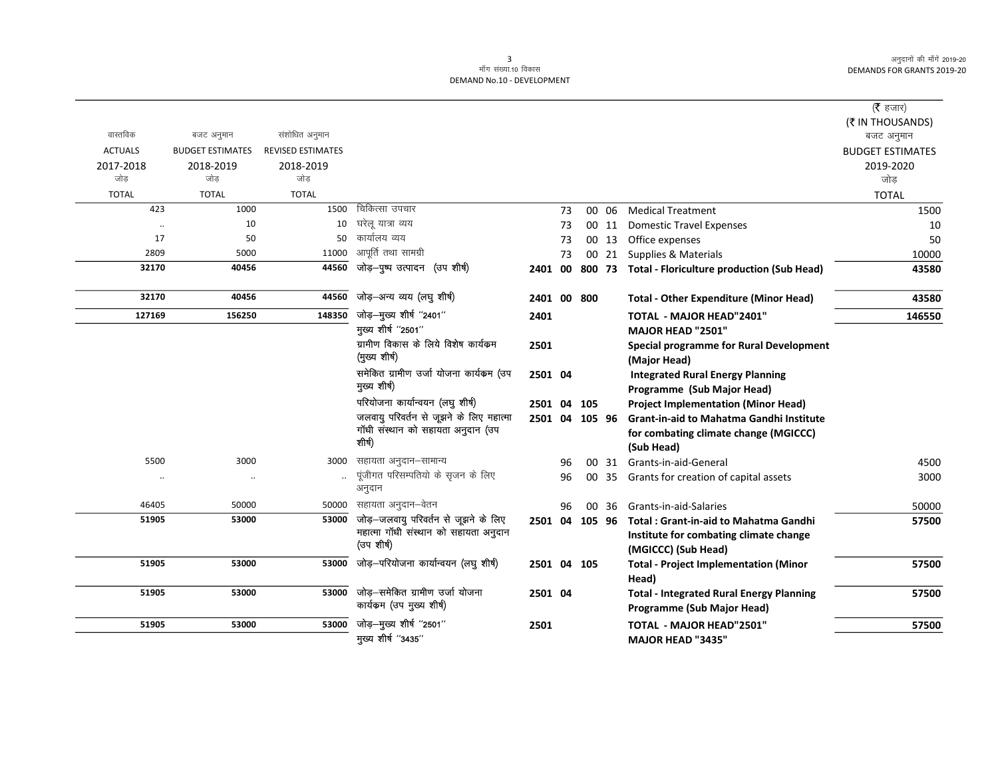$\overline{\phantom{0}}$ 

|                                                 |                                         |                                                                                                                                                                                                                    |                                                                                   |               |                                                                                                                                                       |                                                                                                                                                                                                                                                |                                                                                                   | वास्तविक                                                                   |
|-------------------------------------------------|-----------------------------------------|--------------------------------------------------------------------------------------------------------------------------------------------------------------------------------------------------------------------|-----------------------------------------------------------------------------------|---------------|-------------------------------------------------------------------------------------------------------------------------------------------------------|------------------------------------------------------------------------------------------------------------------------------------------------------------------------------------------------------------------------------------------------|---------------------------------------------------------------------------------------------------|----------------------------------------------------------------------------|
|                                                 |                                         |                                                                                                                                                                                                                    |                                                                                   |               |                                                                                                                                                       | <b>REVISED ESTIMATES</b>                                                                                                                                                                                                                       | <b>BUDGET ESTIMATES</b>                                                                           | <b>ACTUALS</b>                                                             |
|                                                 |                                         |                                                                                                                                                                                                                    |                                                                                   |               |                                                                                                                                                       |                                                                                                                                                                                                                                                |                                                                                                   | 2017-2018                                                                  |
|                                                 |                                         |                                                                                                                                                                                                                    |                                                                                   |               |                                                                                                                                                       |                                                                                                                                                                                                                                                |                                                                                                   | जोड                                                                        |
|                                                 |                                         |                                                                                                                                                                                                                    |                                                                                   |               |                                                                                                                                                       |                                                                                                                                                                                                                                                |                                                                                                   | <b>TOTAL</b>                                                               |
|                                                 |                                         |                                                                                                                                                                                                                    | 73                                                                                |               |                                                                                                                                                       |                                                                                                                                                                                                                                                |                                                                                                   | 423                                                                        |
|                                                 |                                         |                                                                                                                                                                                                                    | 73                                                                                |               |                                                                                                                                                       |                                                                                                                                                                                                                                                |                                                                                                   |                                                                            |
|                                                 |                                         |                                                                                                                                                                                                                    | 73                                                                                |               |                                                                                                                                                       |                                                                                                                                                                                                                                                |                                                                                                   | 17                                                                         |
|                                                 |                                         |                                                                                                                                                                                                                    | 73                                                                                |               |                                                                                                                                                       |                                                                                                                                                                                                                                                |                                                                                                   | 2809                                                                       |
|                                                 |                                         |                                                                                                                                                                                                                    |                                                                                   |               |                                                                                                                                                       |                                                                                                                                                                                                                                                | 40456                                                                                             | 32170                                                                      |
| <b>Total - Other Expenditure (Minor Head)</b>   |                                         |                                                                                                                                                                                                                    |                                                                                   |               | जोड़–अन्य व्यय (लघु शीर्ष)                                                                                                                            | 44560                                                                                                                                                                                                                                          | 40456                                                                                             | 32170                                                                      |
| <b>TOTAL - MAJOR HEAD"2401"</b>                 |                                         |                                                                                                                                                                                                                    |                                                                                   | 2401          | जोड़-मुख्य शीर्ष "2401"                                                                                                                               | 148350                                                                                                                                                                                                                                         | 156250                                                                                            | 127169                                                                     |
| MAJOR HEAD "2501"                               |                                         |                                                                                                                                                                                                                    |                                                                                   |               | मुख्य शीर्ष "2501"                                                                                                                                    |                                                                                                                                                                                                                                                |                                                                                                   |                                                                            |
|                                                 |                                         |                                                                                                                                                                                                                    |                                                                                   | 2501          | ग्रामीण विकास के लिये विशेष कार्यक्रम                                                                                                                 |                                                                                                                                                                                                                                                |                                                                                                   |                                                                            |
|                                                 |                                         |                                                                                                                                                                                                                    |                                                                                   |               | (मुख्य शीर्ष)                                                                                                                                         |                                                                                                                                                                                                                                                |                                                                                                   |                                                                            |
|                                                 |                                         |                                                                                                                                                                                                                    |                                                                                   |               | समेकित ग्रामीण उर्जा योजना कार्यकम (उप                                                                                                                |                                                                                                                                                                                                                                                |                                                                                                   |                                                                            |
| Programme (Sub Major Head)                      |                                         |                                                                                                                                                                                                                    |                                                                                   |               | मुख्य शीर्ष)                                                                                                                                          |                                                                                                                                                                                                                                                |                                                                                                   |                                                                            |
| <b>Project Implementation (Minor Head)</b>      |                                         |                                                                                                                                                                                                                    |                                                                                   |               | परियोजना कार्यान्वयन (लघु शीर्ष)                                                                                                                      |                                                                                                                                                                                                                                                |                                                                                                   |                                                                            |
| <b>Grant-in-aid to Mahatma Gandhi Institute</b> |                                         |                                                                                                                                                                                                                    |                                                                                   |               | जलवायु परिवर्तन से जूझने के लिए महात्मा                                                                                                               |                                                                                                                                                                                                                                                |                                                                                                   |                                                                            |
| for combating climate change (MGICCC)           |                                         |                                                                                                                                                                                                                    |                                                                                   |               |                                                                                                                                                       |                                                                                                                                                                                                                                                |                                                                                                   |                                                                            |
| (Sub Head)                                      |                                         |                                                                                                                                                                                                                    |                                                                                   |               |                                                                                                                                                       |                                                                                                                                                                                                                                                |                                                                                                   |                                                                            |
|                                                 |                                         |                                                                                                                                                                                                                    | 96                                                                                |               | सहायता अनुदान-सामान्य                                                                                                                                 | 3000                                                                                                                                                                                                                                           | 3000                                                                                              | 5500                                                                       |
|                                                 |                                         | 00                                                                                                                                                                                                                 | 96                                                                                |               | पूंजीगत परिसम्पतियो के सृजन के लिए                                                                                                                    |                                                                                                                                                                                                                                                | $\cdot$ .                                                                                         |                                                                            |
|                                                 |                                         |                                                                                                                                                                                                                    |                                                                                   |               | अनुदान                                                                                                                                                |                                                                                                                                                                                                                                                |                                                                                                   |                                                                            |
| Grants-in-aid-Salaries                          |                                         |                                                                                                                                                                                                                    | 96                                                                                |               | सहायता अनुदान–वेतन                                                                                                                                    | 50000                                                                                                                                                                                                                                          | 50000                                                                                             | 46405                                                                      |
| <b>Total: Grant-in-aid to Mahatma Gandhi</b>    |                                         |                                                                                                                                                                                                                    |                                                                                   |               | जोड़—जलवायु परिवर्तन से जूझने के लिए                                                                                                                  | 53000                                                                                                                                                                                                                                          | 53000                                                                                             | 51905                                                                      |
| Institute for combating climate change          |                                         |                                                                                                                                                                                                                    |                                                                                   |               |                                                                                                                                                       |                                                                                                                                                                                                                                                |                                                                                                   |                                                                            |
| (MGICCC) (Sub Head)                             |                                         |                                                                                                                                                                                                                    |                                                                                   |               |                                                                                                                                                       |                                                                                                                                                                                                                                                |                                                                                                   |                                                                            |
| <b>Total - Project Implementation (Minor</b>    |                                         |                                                                                                                                                                                                                    |                                                                                   |               | जोड़-परियोजना कार्यान्वयन (लघु शीर्ष)                                                                                                                 | 53000                                                                                                                                                                                                                                          | 53000                                                                                             | 51905                                                                      |
| Head)                                           |                                         |                                                                                                                                                                                                                    |                                                                                   |               |                                                                                                                                                       |                                                                                                                                                                                                                                                |                                                                                                   |                                                                            |
| <b>Total - Integrated Rural Energy Planning</b> |                                         |                                                                                                                                                                                                                    |                                                                                   |               | जोड़—समेकित ग्रामीण उर्जा योजना                                                                                                                       |                                                                                                                                                                                                                                                | 53000                                                                                             | 51905                                                                      |
|                                                 |                                         |                                                                                                                                                                                                                    |                                                                                   |               |                                                                                                                                                       |                                                                                                                                                                                                                                                |                                                                                                   |                                                                            |
| Programme (Sub Major Head)                      |                                         |                                                                                                                                                                                                                    |                                                                                   |               |                                                                                                                                                       |                                                                                                                                                                                                                                                |                                                                                                   |                                                                            |
| TOTAL - MAJOR HEAD"2501"                        |                                         |                                                                                                                                                                                                                    |                                                                                   | 2501          | जोड़-मुख्य शीर्ष "2501"                                                                                                                               | 53000                                                                                                                                                                                                                                          | 53000                                                                                             | 51905                                                                      |
|                                                 | <b>Integrated Rural Energy Planning</b> | <b>Medical Treatment</b><br><b>Domestic Travel Expenses</b><br>Office expenses<br><b>Special programme for Rural Development</b><br>(Major Head)<br>Grants-in-aid-General<br>Grants for creation of capital assets | 00 06<br>00 11<br>00 13<br>00 21 Supplies & Materials<br>00 31<br>35<br>00<br>-36 | 105<br>105 96 | 2401 00 800 73 Total - Floriculture production (Sub Head)<br>2401 00 800<br>2501 04<br>2501 04<br>2501 04<br>2501 04 105 96<br>2501 04 105<br>2501 04 | चिकित्सा उपचार<br>घरेलू यात्रा व्यय<br>कार्यालय व्यय<br>आपूर्ति तथा सामग्री<br>जोड़-पुष्प उत्पादन (उप शीर्ष)<br>गॉधी संस्थान को सहायता अनुदान (उप<br>शीर्ष)<br>महात्मा गाँधी संस्थान को सहायता अनुदान<br>(उपशीर्ष)<br>कार्यकम (उप मुख्य शीर्ष) | संशोधित अनुमान<br>2018-2019<br>जोड<br><b>TOTAL</b><br>1500<br>10<br>50<br>11000<br>44560<br>53000 | बजट अनुमान<br>2018-2019<br>जोड<br><b>TOTAL</b><br>1000<br>10<br>50<br>5000 |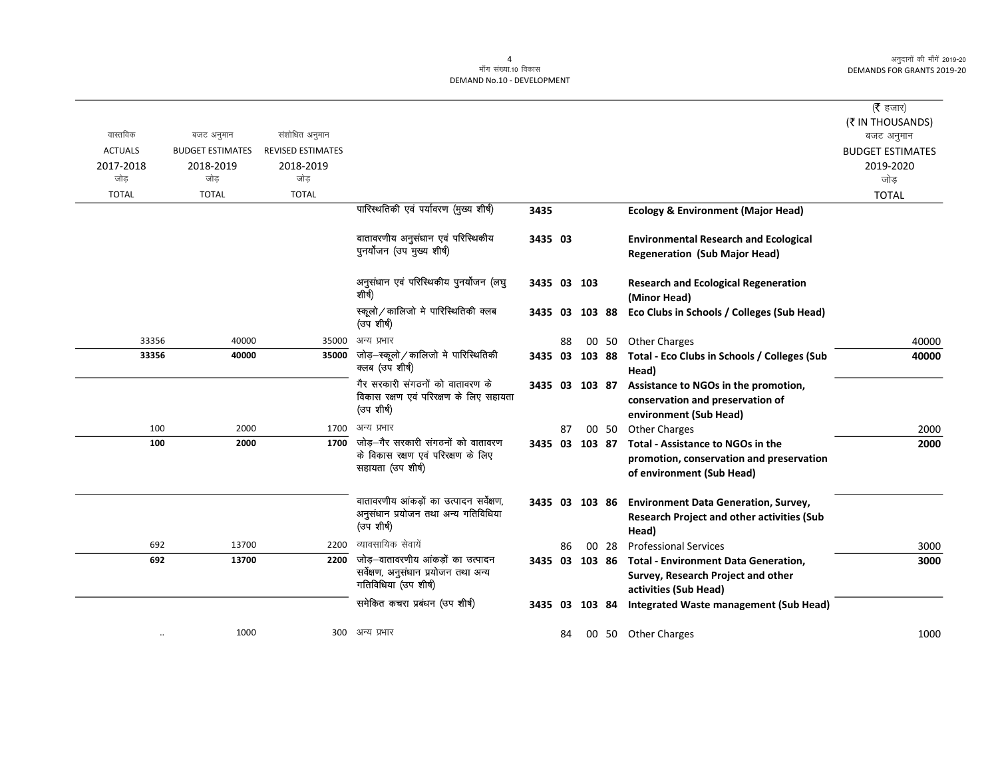$\overline{\phantom{0}}$ 

# 4<br>माँग संख्या.10 विकास

#### DEMAND No.10 - DEVELOPMENT

|                |                         |                          |                                                                                               |                |    |                |       |                                                                                                                   | ( $\bar{\tau}$ हजार)    |
|----------------|-------------------------|--------------------------|-----------------------------------------------------------------------------------------------|----------------|----|----------------|-------|-------------------------------------------------------------------------------------------------------------------|-------------------------|
|                |                         |                          |                                                                                               |                |    |                |       |                                                                                                                   | (₹ IN THOUSANDS)        |
| वास्तविक       | बजट अनुमान              | संशोधित अनुमान           |                                                                                               |                |    |                |       |                                                                                                                   | बजट अनुमान              |
| <b>ACTUALS</b> | <b>BUDGET ESTIMATES</b> | <b>REVISED ESTIMATES</b> |                                                                                               |                |    |                |       |                                                                                                                   | <b>BUDGET ESTIMATES</b> |
| 2017-2018      | 2018-2019               | 2018-2019                |                                                                                               |                |    |                |       |                                                                                                                   | 2019-2020               |
| जोड            | जोड                     | जोड                      |                                                                                               |                |    |                |       |                                                                                                                   | जोड                     |
| <b>TOTAL</b>   | <b>TOTAL</b>            | <b>TOTAL</b>             |                                                                                               |                |    |                |       |                                                                                                                   | <b>TOTAL</b>            |
|                |                         |                          | पारिस्थतिकी एवं पर्यावरण (मुख्य शीर्ष)                                                        | 3435           |    |                |       | <b>Ecology &amp; Environment (Major Head)</b>                                                                     |                         |
|                |                         |                          | वातावरणीय अनुसंधान एवं परिस्थिकीय                                                             | 3435 03        |    |                |       | <b>Environmental Research and Ecological</b>                                                                      |                         |
|                |                         |                          | पुनर्योजन (उप मुख्य शीर्ष)                                                                    |                |    |                |       | <b>Regeneration (Sub Major Head)</b>                                                                              |                         |
|                |                         |                          | अनुसंधान एवं परिस्थिकीय पुनर्योजन (लघु                                                        | 3435 03 103    |    |                |       | <b>Research and Ecological Regeneration</b>                                                                       |                         |
|                |                         |                          | शीर्ष)                                                                                        |                |    |                |       | (Minor Head)                                                                                                      |                         |
|                |                         |                          | स्कूलो/कालिजो मे पारिस्थितिकी क्लब<br>(उप शीर्ष)                                              |                |    | 3435 03 103 88 |       | Eco Clubs in Schools / Colleges (Sub Head)                                                                        |                         |
| 33356          | 40000                   | 35000                    | अन्य प्रभार                                                                                   |                | 88 |                | 00 50 | Other Charges                                                                                                     | 40000                   |
| 33356          | 40000                   | 35000                    | जोड़–स्कूलो/कालिजो मे पारिस्थितिकी<br>क्लब (उप शीर्ष)                                         | 3435 03 103 88 |    |                |       | Total - Eco Clubs in Schools / Colleges (Sub<br>Head)                                                             | 40000                   |
|                |                         |                          | गैर सरकारी संगठनों को वातावरण के<br>विकास रक्षण एवं परिरक्षण के लिए सहायता<br>(उप शीर्ष)      | 3435 03 103 87 |    |                |       | Assistance to NGOs in the promotion,<br>conservation and preservation of<br>environment (Sub Head)                |                         |
| 100            | 2000                    |                          | 1700 अन्य प्रभार                                                                              |                | 87 |                | 00 50 | <b>Other Charges</b>                                                                                              | 2000                    |
| 100            | 2000                    | 1700                     | जोड़—गैर सरकारी संगठनों को वातावरण<br>के विकास रक्षण एवं परिरक्षण के लिए<br>सहायता (उप शीर्ष) | 3435 03 103 87 |    |                |       | <b>Total - Assistance to NGOs in the</b><br>promotion, conservation and preservation<br>of environment (Sub Head) | 2000                    |
|                |                         |                          | वातावरणीय आंकड़ों का उत्पादन सर्वेक्षण,<br>अनुसंधान प्रयोजन तथा अन्य गतिविधिया<br>(उप शीर्ष)  | 3435 03 103 86 |    |                |       | <b>Environment Data Generation, Survey,</b><br><b>Research Project and other activities (Sub</b><br>Head)         |                         |
| 692            | 13700                   | 2200                     | व्यावसायिक सेवायें                                                                            |                | 86 |                | 00 28 | <b>Professional Services</b>                                                                                      | 3000                    |
| 692            | 13700                   | 2200                     | जोड़–वातावरणीय आंकड़ों का उत्पादन                                                             | 3435 03 103 86 |    |                |       | <b>Total - Environment Data Generation,</b>                                                                       | 3000                    |
|                |                         |                          | सर्वेक्षण, अनुसंधान प्रयोजन तथा अन्य<br>गतिविधिया (उप शीर्ष)                                  |                |    |                |       | Survey, Research Project and other<br>activities (Sub Head)                                                       |                         |
|                |                         |                          | समेकित कचरा प्रबंधन (उप शीर्ष)                                                                | 3435 03 103 84 |    |                |       | Integrated Waste management (Sub Head)                                                                            |                         |
|                | 1000                    |                          | 300 अन्य प्रभार                                                                               |                | 84 |                |       | 00 50 Other Charges                                                                                               | 1000                    |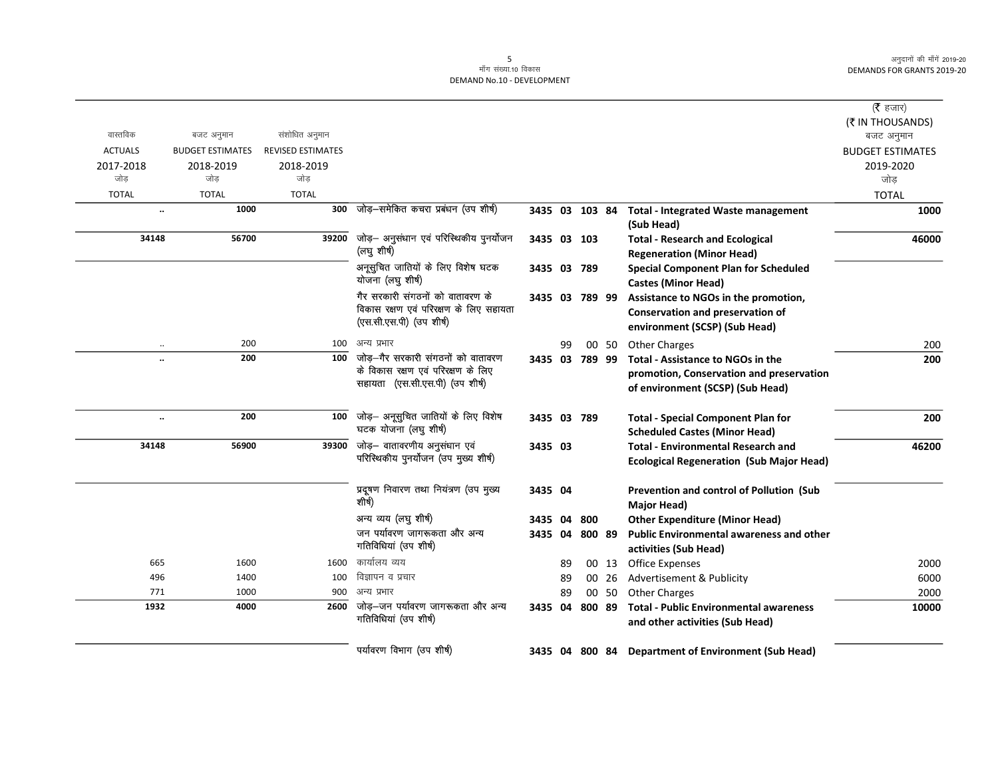| ( $\bar{\tau}$ हजार)<br>(₹ IN THOUSANDS)    |                                                                                                                   |       |        |    |                |                                                                                                             | संशोधित अनुमान                               |                                             | वास्तविक                           |
|---------------------------------------------|-------------------------------------------------------------------------------------------------------------------|-------|--------|----|----------------|-------------------------------------------------------------------------------------------------------------|----------------------------------------------|---------------------------------------------|------------------------------------|
| बजट अनुमान                                  |                                                                                                                   |       |        |    |                |                                                                                                             |                                              | बजट अनुमान                                  |                                    |
| <b>BUDGET ESTIMATES</b><br>2019-2020<br>जोड |                                                                                                                   |       |        |    |                |                                                                                                             | <b>REVISED ESTIMATES</b><br>2018-2019<br>जोड | <b>BUDGET ESTIMATES</b><br>2018-2019<br>जोड | <b>ACTUALS</b><br>2017-2018<br>जोड |
| <b>TOTAL</b>                                |                                                                                                                   |       |        |    |                |                                                                                                             | <b>TOTAL</b>                                 | <b>TOTAL</b>                                | <b>TOTAL</b>                       |
| 1000                                        | <b>Total - Integrated Waste management</b><br>(Sub Head)                                                          |       |        |    | 3435 03 103 84 | जोड़-समेकित कचरा प्रबंधन (उप शीर्ष)                                                                         | 300                                          | 1000                                        | $\ddotsc$                          |
| 46000                                       | <b>Total - Research and Ecological</b><br><b>Regeneration (Minor Head)</b>                                        |       |        |    | 3435 03 103    | जोड़- अनुसंधान एवं परिस्थिकीय पुनर्योजन<br>(लघु शीर्ष)                                                      | 39200                                        | 56700                                       | 34148                              |
|                                             | <b>Special Component Plan for Scheduled</b><br><b>Castes (Minor Head)</b>                                         |       |        |    | 3435 03 789    | अनूसुचित जातियों के लिए विशेष घटक<br>योजना (लघु शीर्ष)                                                      |                                              |                                             |                                    |
|                                             | Assistance to NGOs in the promotion,<br><b>Conservation and preservation of</b><br>environment (SCSP) (Sub Head)  |       |        |    | 3435 03 789 99 | गैर सरकारी संगठनों को वातावरण के<br>विकास रक्षण एवं परिरक्षण के लिए सहायता<br>(एस.सी.एस.पी) (उप शीर्ष)      |                                              |                                             |                                    |
| 200                                         | <b>Other Charges</b>                                                                                              | 00 50 |        | 99 |                | अन्य प्रभार                                                                                                 | 100                                          | 200                                         |                                    |
| 200                                         | Total - Assistance to NGOs in the<br>promotion, Conservation and preservation<br>of environment (SCSP) (Sub Head) |       |        |    | 3435 03 789 99 | जोड़—गैर सरकारी संगठनों को वातावरण<br>के विकास रक्षण एवं परिरक्षण के लिए<br>सहायता (एस.सी.एस.पी) (उप शीर्ष) | 100                                          | 200                                         | $\ddot{\phantom{a}}$               |
| 200                                         | <b>Total - Special Component Plan for</b><br><b>Scheduled Castes (Minor Head)</b>                                 |       |        |    | 3435 03 789    | जोड़- अनूसुचित जातियों के लिए विशेष<br>घटक योजना (लघु शीर्ष)                                                | 100                                          | 200                                         | $\ddot{\phantom{0}}$               |
| 46200                                       | <b>Total - Environmental Research and</b><br><b>Ecological Regeneration (Sub Major Head)</b>                      |       |        |    | 3435 03        | जोड़- वातावरणीय अनुसंधान एवं<br>परिस्थिकीय पुनर्योजन (उप मुख्य शीर्ष)                                       | 39300                                        | 56900                                       | 34148                              |
|                                             | Prevention and control of Pollution (Sub<br>Major Head)                                                           |       |        |    | 3435 04        | प्रदूषण निवारण तथा नियंत्रण (उप मुख्य<br>शीर्ष)                                                             |                                              |                                             |                                    |
|                                             | <b>Other Expenditure (Minor Head)</b>                                                                             |       | 800    |    | 3435 04        | अन्य व्यय (लघु शीर्ष)                                                                                       |                                              |                                             |                                    |
|                                             | <b>Public Environmental awareness and other</b><br>activities (Sub Head)                                          |       |        |    | 3435 04 800 89 | जन पर्यावरण जागरूकता और अन्य<br>गतिविधियां (उप शीर्ष)                                                       |                                              |                                             |                                    |
| 2000                                        | <b>Office Expenses</b>                                                                                            | 00 13 |        | 89 |                | कार्यालय व्यय                                                                                               | 1600                                         | 1600                                        | 665                                |
| 6000                                        | Advertisement & Publicity                                                                                         | 00 26 |        | 89 |                | विज्ञापन व प्रचार                                                                                           | 100                                          | 1400                                        | 496                                |
| 2000                                        | <b>Other Charges</b>                                                                                              | 00 50 |        | 89 |                | अन्य प्रभार                                                                                                 | 900                                          | 1000                                        | 771                                |
| 10000                                       | <b>Total - Public Environmental awareness</b><br>and other activities (Sub Head)                                  |       | 800 89 |    | 3435 04        | जोड़-जन पर्यावरण जागरूकता और अन्य<br>गतिविधियां (उप शीर्ष)                                                  | 2600                                         | 4000                                        | 1932                               |
|                                             | 3435 04 800 84 Department of Environment (Sub Head)                                                               |       |        |    |                | पर्यावरण विभाग (उप शीर्ष)                                                                                   |                                              |                                             |                                    |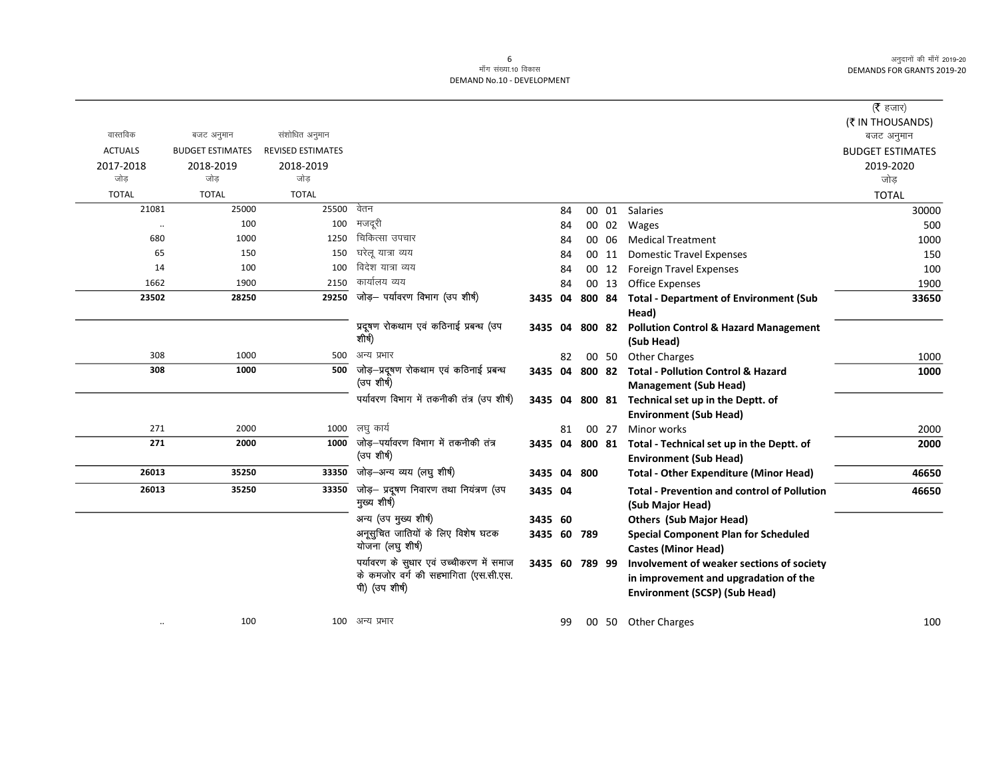|                      |                         |                          |                                            |                |    |        |       |                                                          | (रै हजार)               |
|----------------------|-------------------------|--------------------------|--------------------------------------------|----------------|----|--------|-------|----------------------------------------------------------|-------------------------|
|                      |                         |                          |                                            |                |    |        |       |                                                          | (₹ IN THOUSANDS)        |
| वास्तविक             | बजट अनुमान              | संशोधित अनुमान           |                                            |                |    |        |       |                                                          | बजट अनुमान              |
| <b>ACTUALS</b>       | <b>BUDGET ESTIMATES</b> | <b>REVISED ESTIMATES</b> |                                            |                |    |        |       |                                                          | <b>BUDGET ESTIMATES</b> |
| 2017-2018            | 2018-2019               | 2018-2019                |                                            |                |    |        |       |                                                          | 2019-2020               |
| जोड                  | जोड                     | जोड                      |                                            |                |    |        |       |                                                          | जोड                     |
| <b>TOTAL</b>         | <b>TOTAL</b>            | <b>TOTAL</b>             |                                            |                |    |        |       |                                                          | <b>TOTAL</b>            |
| 21081                | 25000                   | 25500                    | वेतन                                       |                | 84 |        |       | 00 01 Salaries                                           | 30000                   |
| $\ddot{\phantom{0}}$ | 100                     | 100                      | मजदूरी                                     |                | 84 |        |       | 00 02 Wages                                              | 500                     |
| 680                  | 1000                    | 1250                     | चिकित्सा उपचार                             |                | 84 |        | 00 06 | <b>Medical Treatment</b>                                 | 1000                    |
| 65                   | 150                     | 150                      | घरेलू यात्रा व्यय                          |                | 84 |        | 00 11 | <b>Domestic Travel Expenses</b>                          | 150                     |
| 14                   | 100                     | 100                      | विदेश यात्रा व्यय                          |                | 84 |        | 00 12 | <b>Foreign Travel Expenses</b>                           | 100                     |
| 1662                 | 1900                    | 2150                     | कार्यालय व्यय                              |                | 84 |        | 00 13 | <b>Office Expenses</b>                                   | 1900                    |
| 23502                | 28250                   | 29250                    | जोड़— पर्यावरण विभाग (उप शीर्ष)            | 3435           | 04 | 800 84 |       | <b>Total - Department of Environment (Sub</b>            | 33650                   |
|                      |                         |                          |                                            |                |    |        |       | Head)                                                    |                         |
|                      |                         |                          | प्रदूषण रोकथाम एवं कठिनाई प्रबन्ध (उप      | 3435           | 04 |        |       | 800 82 Pollution Control & Hazard Management             |                         |
|                      |                         |                          | शीर्ष)                                     |                |    |        |       | (Sub Head)                                               |                         |
| 308                  | 1000                    | 500                      | अन्य प्रभार                                |                | 82 |        | 00 50 | <b>Other Charges</b>                                     | 1000                    |
| 308                  | 1000                    | 500                      | जोड़-प्रदूषण रोकथाम एवं कठिनाई प्रबन्ध     | 3435 04        |    | 800 82 |       | <b>Total - Pollution Control &amp; Hazard</b>            | 1000                    |
|                      |                         |                          | (उप शीर्ष)                                 |                |    |        |       | <b>Management (Sub Head)</b>                             |                         |
|                      |                         |                          | पर्यावरण विभाग में तकनीकी तंत्र (उप शीर्ष) |                |    |        |       | 3435 04 800 81 Technical set up in the Deptt. of         |                         |
|                      |                         |                          |                                            |                |    |        |       | <b>Environment (Sub Head)</b>                            |                         |
| 271                  | 2000                    | 1000                     | लघ कार्य                                   |                | 81 |        | 00 27 | Minor works                                              | 2000                    |
| 271                  | 2000                    | 1000                     | जोड़–पर्यावरण विभाग में तकनीकी तंत्र       |                |    |        |       | 3435 04 800 81 Total - Technical set up in the Deptt. of | 2000                    |
|                      |                         |                          | (उप शीर्ष)                                 |                |    |        |       | <b>Environment (Sub Head)</b>                            |                         |
| 26013                | 35250                   | 33350                    | जोड़–अन्य व्यय (लघु शीर्ष)                 | 3435 04        |    | 800    |       | <b>Total - Other Expenditure (Minor Head)</b>            | 46650                   |
| 26013                | 35250                   | 33350                    | जोड़- प्रदूषण निवारण तथा नियंत्रण (उप      | 3435 04        |    |        |       | <b>Total - Prevention and control of Pollution</b>       | 46650                   |
|                      |                         |                          | मुख्य शीर्ष)                               |                |    |        |       | (Sub Major Head)                                         |                         |
|                      |                         |                          | अन्य (उप मुख्य शीर्ष)                      | 3435 60        |    |        |       | <b>Others (Sub Major Head)</b>                           |                         |
|                      |                         |                          | अनूसुचित जातियों के लिए विशेष घटक          | 3435 60 789    |    |        |       | <b>Special Component Plan for Scheduled</b>              |                         |
|                      |                         |                          | योजना (लघु शीर्ष)                          |                |    |        |       | <b>Castes (Minor Head)</b>                               |                         |
|                      |                         |                          | पर्यावरण के सुधार एवं उच्चीकरण में समाज    | 3435 60 789 99 |    |        |       | Involvement of weaker sections of society                |                         |
|                      |                         |                          | के कमजोर वर्ग की सहभागिता (एस.सी.एस.       |                |    |        |       | in improvement and upgradation of the                    |                         |
|                      |                         |                          | पी) (उप शीर्ष)                             |                |    |        |       | <b>Environment (SCSP) (Sub Head)</b>                     |                         |
|                      |                         |                          |                                            |                |    |        |       |                                                          |                         |
| $\cdot\cdot$         | 100                     |                          | 100 अन्य प्रभार                            |                | 99 |        | 00 50 | <b>Other Charges</b>                                     | 100                     |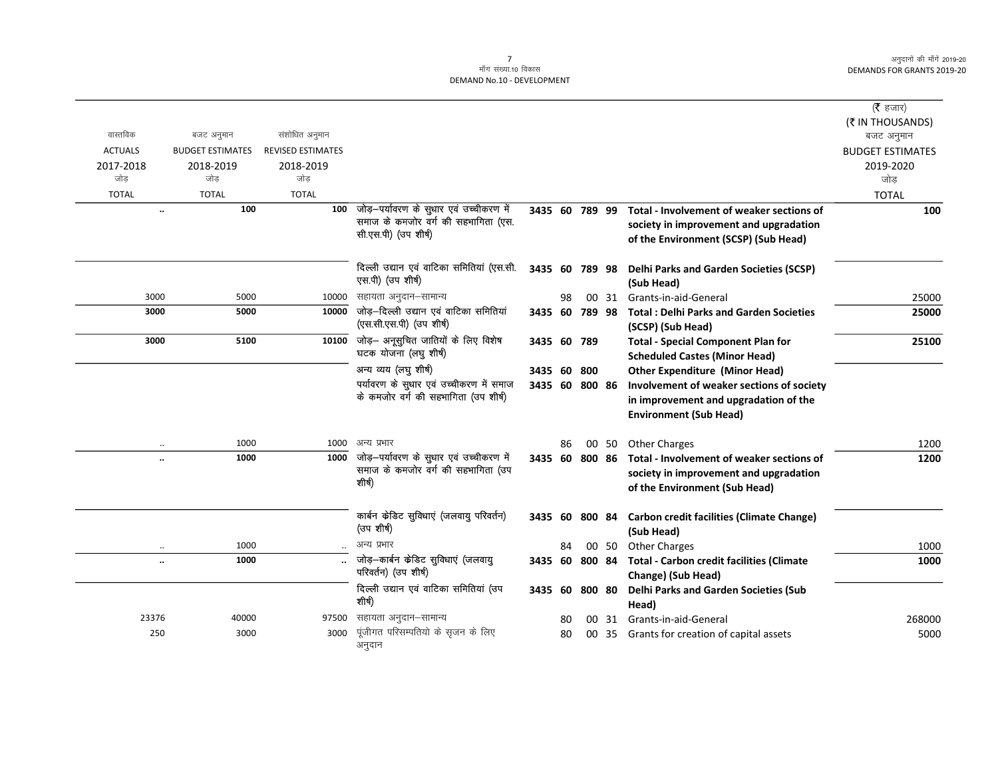$\overline{\phantom{0}}$ 

|                      |                         |                          |                                              |                |    |       |                                                          | (रै हजार)               |
|----------------------|-------------------------|--------------------------|----------------------------------------------|----------------|----|-------|----------------------------------------------------------|-------------------------|
|                      |                         |                          |                                              |                |    |       |                                                          | (₹ IN THOUSANDS)        |
| वास्तविक             | बजट अनुमान              | संशोधित अनुमान           |                                              |                |    |       |                                                          | बजट अनुमान              |
| <b>ACTUALS</b>       | <b>BUDGET ESTIMATES</b> | <b>REVISED ESTIMATES</b> |                                              |                |    |       |                                                          | <b>BUDGET ESTIMATES</b> |
| 2017-2018            | 2018-2019               | 2018-2019                |                                              |                |    |       |                                                          | 2019-2020               |
| जोड                  | जोड                     | जोड                      |                                              |                |    |       |                                                          | जोड़                    |
| <b>TOTAL</b>         | <b>TOTAL</b>            | <b>TOTAL</b>             |                                              |                |    |       |                                                          | <b>TOTAL</b>            |
| $\ddot{\phantom{0}}$ | 100                     | 100                      | जोड़–पर्यावरण के सुधार एवं उच्चीकरण में      | 3435 60 789 99 |    |       | Total - Involvement of weaker sections of                | 100                     |
|                      |                         |                          | समाज के कमजोर वर्ग की सहभागिता (एस.          |                |    |       | society in improvement and upgradation                   |                         |
|                      |                         |                          | सी.एस.पी) (उप शीर्ष)                         |                |    |       | of the Environment (SCSP) (Sub Head)                     |                         |
|                      |                         |                          | दिल्ली उद्यान एवं वाटिका समितियां (एस.सी.    | 3435 60 789 98 |    |       | <b>Delhi Parks and Garden Societies (SCSP)</b>           |                         |
|                      |                         |                          | एस.पी) (उप शीर्ष)                            |                |    |       | (Sub Head)                                               |                         |
| 3000                 | 5000                    | 10000                    | सहायता अनुदान–सामान्य                        |                | 98 |       | 00 31 Grants-in-aid-General                              | 25000                   |
| 3000                 | 5000                    | 10000                    | जोड़–दिल्ली उद्यान एवं वाटिका समितियां       |                |    |       | 3435 60 789 98 Total: Delhi Parks and Garden Societies   | 25000                   |
|                      |                         |                          | (एस.सी.एस.पी) (उप शीर्ष)                     |                |    |       | (SCSP) (Sub Head)                                        |                         |
| 3000                 | 5100                    | 10100                    | जोड़— अनूसुचित जातियों के लिए विशेष          | 3435 60 789    |    |       | <b>Total - Special Component Plan for</b>                | 25100                   |
|                      |                         |                          | घटक योजना (लघु शीर्ष)                        |                |    |       | <b>Scheduled Castes (Minor Head)</b>                     |                         |
|                      |                         |                          | अन्य व्यय (लघु शीर्ष)                        | 3435 60 800    |    |       | <b>Other Expenditure (Minor Head)</b>                    |                         |
|                      |                         |                          | पर्यावरण के सुधार एवं उच्चीकरण में समाज      | 3435 60 800 86 |    |       | Involvement of weaker sections of society                |                         |
|                      |                         |                          | के कमजोर वर्ग की सहभागिता (उप शीर्ष)         |                |    |       | in improvement and upgradation of the                    |                         |
|                      |                         |                          |                                              |                |    |       | <b>Environment (Sub Head)</b>                            |                         |
| $\cdot$ .            | 1000                    | 1000                     | अन्य प्रभार                                  |                | 86 | 00 50 | <b>Other Charges</b>                                     | 1200                    |
| $\ddot{\phantom{a}}$ | 1000                    | 1000                     | जोड़-पर्यावरण के सुधार एवं उच्चीकरण में      | 3435 60 800 86 |    |       | Total - Involvement of weaker sections of                | 1200                    |
|                      |                         |                          | समाज के कमजोर वर्ग की सहभागिता (उप           |                |    |       | society in improvement and upgradation                   |                         |
|                      |                         |                          | शीर्ष)                                       |                |    |       | of the Environment (Sub Head)                            |                         |
|                      |                         |                          | कार्बन केडिट सुविधाएं (जलवायु परिवर्तन)      |                |    |       | 3435 60 800 84 Carbon credit facilities (Climate Change) |                         |
|                      |                         |                          | (उप शीर्ष)                                   |                |    |       | (Sub Head)                                               |                         |
| $\ldots$             | 1000                    |                          | अन्य प्रभार                                  |                | 84 |       | 00 50 Other Charges                                      | 1000                    |
|                      | 1000                    |                          | जोड़-कार्बन केडिट सुविधाएं (जलवायु           | 3435 60 800 84 |    |       | Total - Carbon credit facilities (Climate                | 1000                    |
|                      |                         |                          | परिवर्तन) (उप शीर्ष)                         |                |    |       | Change) (Sub Head)                                       |                         |
|                      |                         |                          | दिल्ली उद्यान एवं वाटिका समितियां (उप        | 3435 60 800 80 |    |       | <b>Delhi Parks and Garden Societies (Sub</b>             |                         |
|                      |                         |                          | शीर्ष)                                       |                |    |       | Head)                                                    |                         |
| 23376                | 40000                   | 97500                    | सहायता अनुदान–सामान्य                        |                | 80 | 00 31 | Grants-in-aid-General                                    | 268000                  |
| 250                  | 3000                    | 3000                     | पूंजीगत परिसम्पतियो के सृजन के लिए<br>अनुदान |                | 80 |       | 00 35 Grants for creation of capital assets              | 5000                    |